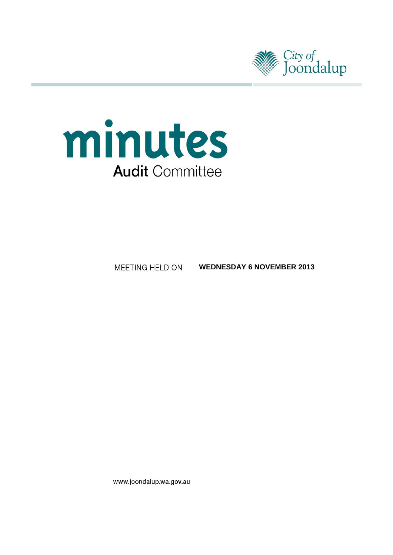



MEETING HELD ON **WEDNESDAY 6 NOVEMBER 2013**

www.joondalup.wa.gov.au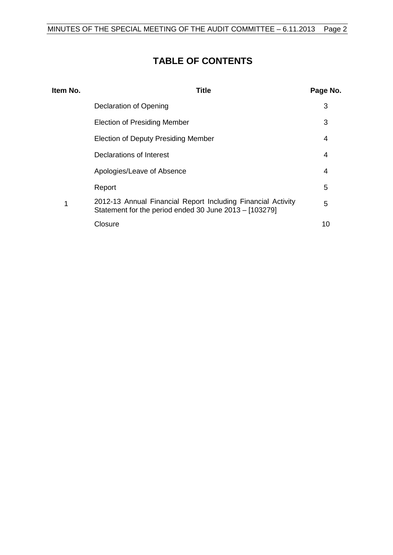# **TABLE OF CONTENTS**

| Item No. | Title                                                                                                                  | Page No. |
|----------|------------------------------------------------------------------------------------------------------------------------|----------|
|          | Declaration of Opening                                                                                                 | 3        |
|          | Election of Presiding Member                                                                                           | 3        |
|          | Election of Deputy Presiding Member                                                                                    | 4        |
|          | Declarations of Interest                                                                                               | 4        |
|          | Apologies/Leave of Absence                                                                                             | 4        |
|          | Report                                                                                                                 | 5        |
| 1        | 2012-13 Annual Financial Report Including Financial Activity<br>Statement for the period ended 30 June 2013 - [103279] | 5        |
|          | Closure                                                                                                                | 10       |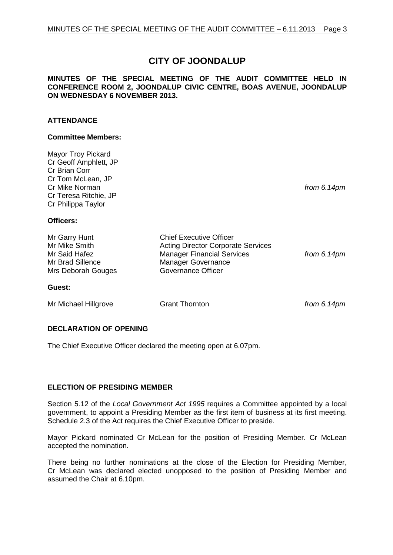# **CITY OF JOONDALUP**

### **MINUTES OF THE SPECIAL MEETING OF THE AUDIT COMMITTEE HELD IN CONFERENCE ROOM 2, JOONDALUP CIVIC CENTRE, BOAS AVENUE, JOONDALUP ON WEDNESDAY 6 NOVEMBER 2013.**

# **ATTENDANCE**

#### **Committee Members:**

| <b>Mayor Troy Pickard</b><br>Cr Geoff Amphlett, JP<br>Cr Brian Corr<br>Cr Tom McLean, JP<br>Cr Mike Norman<br>Cr Teresa Ritchie, JP<br>Cr Philippa Taylor |                                                                                                                                                              | from $6.14$ pm |
|-----------------------------------------------------------------------------------------------------------------------------------------------------------|--------------------------------------------------------------------------------------------------------------------------------------------------------------|----------------|
| Officers:                                                                                                                                                 |                                                                                                                                                              |                |
| Mr Garry Hunt<br>Mr Mike Smith<br>Mr Said Hafez<br>Mr Brad Sillence<br>Mrs Deborah Gouges                                                                 | Chief Executive Officer<br><b>Acting Director Corporate Services</b><br><b>Manager Financial Services</b><br><b>Manager Governance</b><br>Governance Officer | from $6.14$ pm |
| <b>Guest:</b>                                                                                                                                             |                                                                                                                                                              |                |

Mr Michael Hillgrove Grant Thornton *from 6.14pm*

<span id="page-2-0"></span>

# **DECLARATION OF OPENING**

The Chief Executive Officer declared the meeting open at 6.07pm.

# <span id="page-2-1"></span>**ELECTION OF PRESIDING MEMBER**

Section 5.12 of the *Local Government Act 1995* requires a Committee appointed by a local government, to appoint a Presiding Member as the first item of business at its first meeting. Schedule 2.3 of the Act requires the Chief Executive Officer to preside.

Mayor Pickard nominated Cr McLean for the position of Presiding Member. Cr McLean accepted the nomination.

<span id="page-2-2"></span>There being no further nominations at the close of the Election for Presiding Member, Cr McLean was declared elected unopposed to the position of Presiding Member and assumed the Chair at 6.10pm.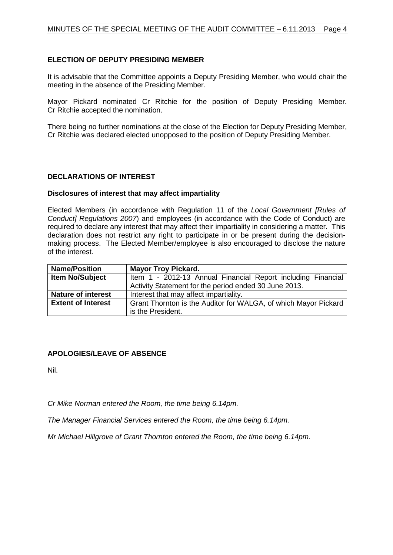# **ELECTION OF DEPUTY PRESIDING MEMBER**

It is advisable that the Committee appoints a Deputy Presiding Member, who would chair the meeting in the absence of the Presiding Member.

Mayor Pickard nominated Cr Ritchie for the position of Deputy Presiding Member. Cr Ritchie accepted the nomination.

There being no further nominations at the close of the Election for Deputy Presiding Member, Cr Ritchie was declared elected unopposed to the position of Deputy Presiding Member.

# <span id="page-3-0"></span>**DECLARATIONS OF INTEREST**

#### **Disclosures of interest that may affect impartiality**

Elected Members (in accordance with Regulation 11 of the *Local Government [Rules of Conduct] Regulations 2007*) and employees (in accordance with the Code of Conduct) are required to declare any interest that may affect their impartiality in considering a matter. This declaration does not restrict any right to participate in or be present during the decisionmaking process. The Elected Member/employee is also encouraged to disclose the nature of the interest.

| <b>Name/Position</b>                                                                         | <b>Mayor Troy Pickard.</b>                                   |
|----------------------------------------------------------------------------------------------|--------------------------------------------------------------|
| Item No/Subject                                                                              | Item 1 - 2012-13 Annual Financial Report including Financial |
|                                                                                              | Activity Statement for the period ended 30 June 2013.        |
| <b>Nature of interest</b>                                                                    | Interest that may affect impartiality.                       |
| Grant Thornton is the Auditor for WALGA, of which Mayor Pickard<br><b>Extent of Interest</b> |                                                              |
|                                                                                              | is the President.                                            |

#### <span id="page-3-1"></span>**APOLOGIES/LEAVE OF ABSENCE**

Nil.

*Cr Mike Norman entered the Room, the time being 6.14pm.*

*The Manager Financial Services entered the Room, the time being 6.14pm.*

*Mr Michael Hillgrove of Grant Thornton entered the Room, the time being 6.14pm.*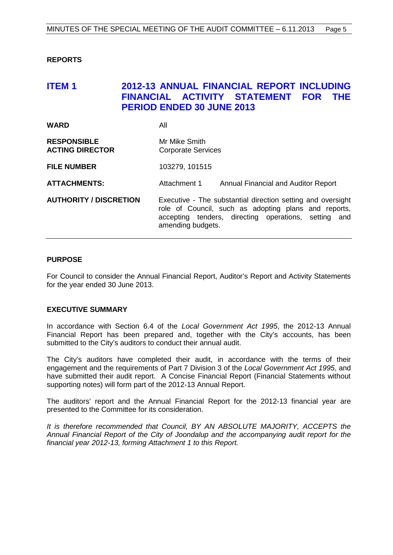# <span id="page-4-0"></span>**REPORTS**

# <span id="page-4-1"></span>**ITEM 1 2012-13 ANNUAL FINANCIAL REPORT INCLUDING FINANCIAL ACTIVITY STATEMENT FOR THE PERIOD ENDED 30 JUNE 2013**

| <b>WARD</b>                                  | All                                                                                                                                                                                              |                                            |
|----------------------------------------------|--------------------------------------------------------------------------------------------------------------------------------------------------------------------------------------------------|--------------------------------------------|
| <b>RESPONSIBLE</b><br><b>ACTING DIRECTOR</b> | Mr Mike Smith<br><b>Corporate Services</b>                                                                                                                                                       |                                            |
| <b>FILE NUMBER</b>                           | 103279, 101515                                                                                                                                                                                   |                                            |
| <b>ATTACHMENTS:</b>                          | Attachment 1                                                                                                                                                                                     | <b>Annual Financial and Auditor Report</b> |
| <b>AUTHORITY / DISCRETION</b>                | Executive - The substantial direction setting and oversight<br>role of Council, such as adopting plans and reports,<br>accepting tenders, directing operations, setting and<br>amending budgets. |                                            |

# **PURPOSE**

For Council to consider the Annual Financial Report, Auditor's Report and Activity Statements for the year ended 30 June 2013.

#### **EXECUTIVE SUMMARY**

In accordance with Section 6.4 of the *Local Government Act 1995*, the 2012-13 Annual Financial Report has been prepared and, together with the City's accounts, has been submitted to the City's auditors to conduct their annual audit.

The City's auditors have completed their audit, in accordance with the terms of their engagement and the requirements of Part 7 Division 3 of the *Local Government Act 1995*, and have submitted their audit report. A Concise Financial Report (Financial Statements without supporting notes) will form part of the 2012-13 Annual Report.

The auditors' report and the Annual Financial Report for the 2012-13 financial year are presented to the Committee for its consideration.

*It is therefore recommended that Council, BY AN ABSOLUTE MAJORITY, ACCEPTS the Annual Financial Report of the City of Joondalup and the accompanying audit report for the financial year 2012-13, forming Attachment 1 to this Report.*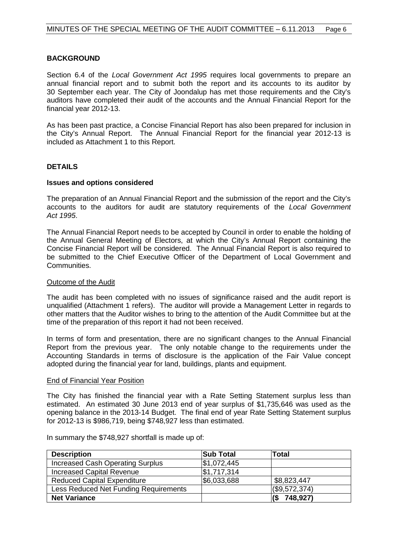# **BACKGROUND**

Section 6.4 of the *Local Government Act 1995* requires local governments to prepare an annual financial report and to submit both the report and its accounts to its auditor by 30 September each year. The City of Joondalup has met those requirements and the City's auditors have completed their audit of the accounts and the Annual Financial Report for the financial year 2012-13.

As has been past practice, a Concise Financial Report has also been prepared for inclusion in the City's Annual Report. The Annual Financial Report for the financial year 2012-13 is included as Attachment 1 to this Report.

# **DETAILS**

#### **Issues and options considered**

The preparation of an Annual Financial Report and the submission of the report and the City's accounts to the auditors for audit are statutory requirements of the *Local Government Act 1995*.

The Annual Financial Report needs to be accepted by Council in order to enable the holding of the Annual General Meeting of Electors, at which the City's Annual Report containing the Concise Financial Report will be considered. The Annual Financial Report is also required to be submitted to the Chief Executive Officer of the Department of Local Government and **Communities.** 

#### Outcome of the Audit

The audit has been completed with no issues of significance raised and the audit report is unqualified (Attachment 1 refers). The auditor will provide a Management Letter in regards to other matters that the Auditor wishes to bring to the attention of the Audit Committee but at the time of the preparation of this report it had not been received.

In terms of form and presentation, there are no significant changes to the Annual Financial Report from the previous year. The only notable change to the requirements under the Accounting Standards in terms of disclosure is the application of the Fair Value concept adopted during the financial year for land, buildings, plants and equipment.

#### End of Financial Year Position

The City has finished the financial year with a Rate Setting Statement surplus less than estimated. An estimated 30 June 2013 end of year surplus of \$1,735,646 was used as the opening balance in the 2013-14 Budget. The final end of year Rate Setting Statement surplus for 2012-13 is \$986,719, being \$748,927 less than estimated.

| <b>Description</b>                      | <b>Sub Total</b> | Total            |
|-----------------------------------------|------------------|------------------|
| <b>Increased Cash Operating Surplus</b> | \$1,072,445      |                  |
| <b>Increased Capital Revenue</b>        | \$1,717,314      |                  |
| <b>Reduced Capital Expenditure</b>      | \$6,033,688      | \$8,823,447      |
| Less Reduced Net Funding Requirements   |                  | $($ \$9,572,374) |
| <b>Net Variance</b>                     |                  | 748,927)         |

In summary the \$748,927 shortfall is made up of: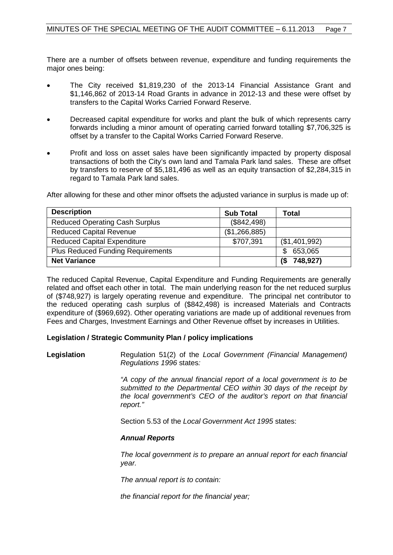There are a number of offsets between revenue, expenditure and funding requirements the major ones being:

- The City received \$1,819,230 of the 2013-14 Financial Assistance Grant and \$1,146,862 of 2013-14 Road Grants in advance in 2012-13 and these were offset by transfers to the Capital Works Carried Forward Reserve.
- Decreased capital expenditure for works and plant the bulk of which represents carry forwards including a minor amount of operating carried forward totalling \$7,706,325 is offset by a transfer to the Capital Works Carried Forward Reserve.
- Profit and loss on asset sales have been significantly impacted by property disposal transactions of both the City's own land and Tamala Park land sales. These are offset by transfers to reserve of \$5,181,496 as well as an equity transaction of \$2,284,315 in regard to Tamala Park land sales.

After allowing for these and other minor offsets the adjusted variance in surplus is made up of:

| <b>Description</b>                       | <b>Sub Total</b> | Total           |
|------------------------------------------|------------------|-----------------|
| <b>Reduced Operating Cash Surplus</b>    | (\$842,498)      |                 |
| <b>Reduced Capital Revenue</b>           | (\$1,266,885)    |                 |
| <b>Reduced Capital Expenditure</b>       | \$707,391        | (\$1,401,992)   |
| <b>Plus Reduced Funding Requirements</b> |                  | 653,065<br>\$   |
| <b>Net Variance</b>                      |                  | 748,927)<br>(\$ |

The reduced Capital Revenue, Capital Expenditure and Funding Requirements are generally related and offset each other in total. The main underlying reason for the net reduced surplus of (\$748,927) is largely operating revenue and expenditure. The principal net contributor to the reduced operating cash surplus of (\$842,498) is increased Materials and Contracts expenditure of (\$969,692). Other operating variations are made up of additional revenues from Fees and Charges, Investment Earnings and Other Revenue offset by increases in Utilities.

#### **Legislation / Strategic Community Plan / policy implications**

**Legislation** Regulation 51(2) of the *Local Government (Financial Management) Regulations 1996* states*:*

> *"A copy of the annual financial report of a local government is to be submitted to the Departmental CEO within 30 days of the receipt by the local government's CEO of the auditor's report on that financial report."*

Section 5.53 of the *Local Government Act 1995* states:

#### *Annual Reports*

*The local government is to prepare an annual report for each financial year.*

*The annual report is to contain:*

*the financial report for the financial year;*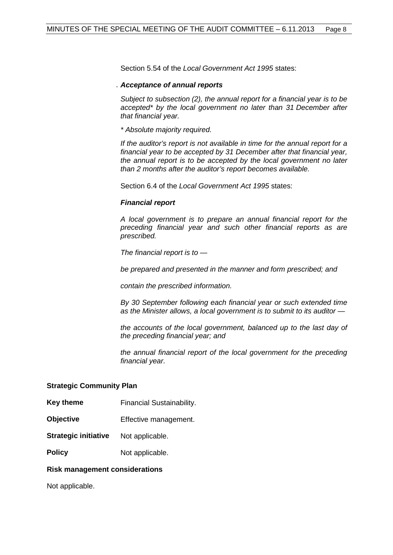Section 5.54 of the *Local Government Act 1995* states:

#### *. Acceptance of annual reports*

*Subject to subsection (2), the annual report for a financial year is to be accepted\* by the local government no later than 31 December after that financial year.*

*\* Absolute majority required.*

*If the auditor's report is not available in time for the annual report for a financial year to be accepted by 31 December after that financial year, the annual report is to be accepted by the local government no later than 2 months after the auditor's report becomes available.*

Section 6.4 of the *Local Government Act 1995* states:

# *Financial report*

*A local government is to prepare an annual financial report for the preceding financial year and such other financial reports as are prescribed.*

*The financial report is to —*

*be prepared and presented in the manner and form prescribed; and*

*contain the prescribed information.*

*By 30 September following each financial year or such extended time as the Minister allows, a local government is to submit to its auditor —*

*the accounts of the local government, balanced up to the last day of the preceding financial year; and*

*the annual financial report of the local government for the preceding financial year.*

# **Strategic Community Plan**

- **Key theme Financial Sustainability.**
- **Objective** Effective management.
- **Strategic initiative** Not applicable.
- **Policy** Not applicable.

#### **Risk management considerations**

Not applicable.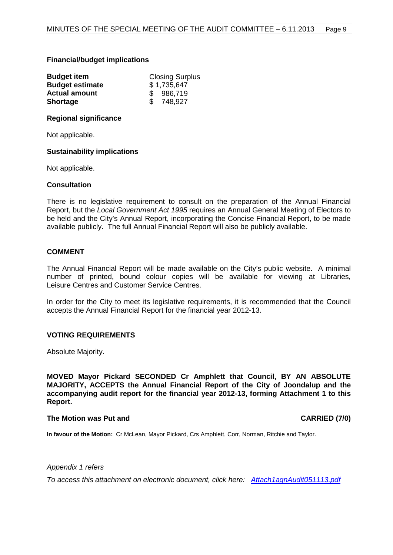#### **Financial/budget implications**

| <b>Budget item</b>     | <b>Closing Surplus</b> |
|------------------------|------------------------|
| <b>Budget estimate</b> | \$1,735,647            |
| <b>Actual amount</b>   | \$986,719              |
| <b>Shortage</b>        | \$748,927              |

#### **Regional significance**

Not applicable.

#### **Sustainability implications**

Not applicable.

#### **Consultation**

There is no legislative requirement to consult on the preparation of the Annual Financial Report, but the *Local Government Act 1995* requires an Annual General Meeting of Electors to be held and the City's Annual Report, incorporating the Concise Financial Report, to be made available publicly. The full Annual Financial Report will also be publicly available.

#### **COMMENT**

The Annual Financial Report will be made available on the City's public website. A minimal number of printed, bound colour copies will be available for viewing at Libraries, Leisure Centres and Customer Service Centres.

In order for the City to meet its legislative requirements, it is recommended that the Council accepts the Annual Financial Report for the financial year 2012-13.

#### **VOTING REQUIREMENTS**

Absolute Majority.

**MOVED Mayor Pickard SECONDED Cr Amphlett that Council, BY AN ABSOLUTE MAJORITY, ACCEPTS the Annual Financial Report of the City of Joondalup and the accompanying audit report for the financial year 2012-13, forming Attachment 1 to this Report.**

#### **The Motion was Put and CARRIED (7/0)**

**In favour of the Motion:** Cr McLean, Mayor Pickard, Crs Amphlett, Corr, Norman, Ritchie and Taylor.

*Appendix 1 refers*

*To access this attachment on electronic document, click here: [Attach1agnAudit051113.pdf](http://www.joondalup.wa.gov.au/files/committees/AUDT/2013/Attach1agnAudit051113.pdf)*